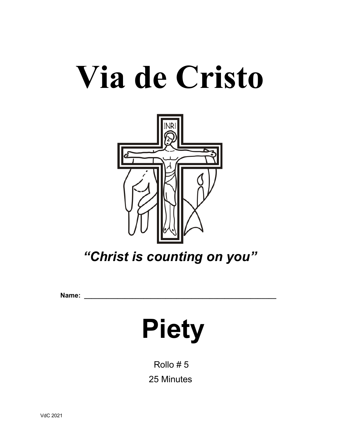# **Via de Cristo**



*"Christ is counting on you"*

**Name: \_\_\_\_\_\_\_\_\_\_\_\_\_\_\_\_\_\_\_\_\_\_\_\_\_\_\_\_\_\_\_\_\_\_\_\_\_\_\_\_\_\_\_\_\_\_\_\_\_\_\_\_**

# **Piety**

 Rollo # 5 25 Minutes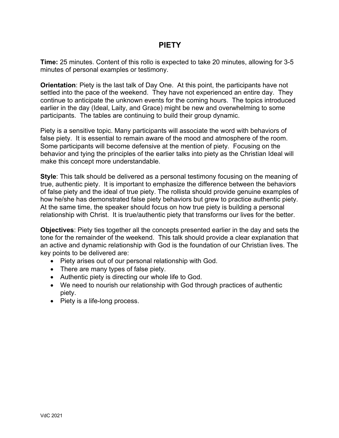# **PIETY**

**Time:** 25 minutes. Content of this rollo is expected to take 20 minutes, allowing for 3-5 minutes of personal examples or testimony.

**Orientation**: Piety is the last talk of Day One. At this point, the participants have not settled into the pace of the weekend. They have not experienced an entire day. They continue to anticipate the unknown events for the coming hours. The topics introduced earlier in the day (Ideal, Laity, and Grace) might be new and overwhelming to some participants. The tables are continuing to build their group dynamic.

Piety is a sensitive topic. Many participants will associate the word with behaviors of false piety. It is essential to remain aware of the mood and atmosphere of the room. Some participants will become defensive at the mention of piety. Focusing on the behavior and tying the principles of the earlier talks into piety as the Christian Ideal will make this concept more understandable.

**Style**: This talk should be delivered as a personal testimony focusing on the meaning of true, authentic piety. It is important to emphasize the difference between the behaviors of false piety and the ideal of true piety. The rollista should provide genuine examples of how he/she has demonstrated false piety behaviors but grew to practice authentic piety. At the same time, the speaker should focus on how true piety is building a personal relationship with Christ. It is true/authentic piety that transforms our lives for the better.

**Objectives**: Piety ties together all the concepts presented earlier in the day and sets the tone for the remainder of the weekend. This talk should provide a clear explanation that an active and dynamic relationship with God is the foundation of our Christian lives. The key points to be delivered are:

- Piety arises out of our personal relationship with God.
- There are many types of false piety.
- Authentic piety is directing our whole life to God.
- We need to nourish our relationship with God through practices of authentic piety.
- Piety is a life-long process.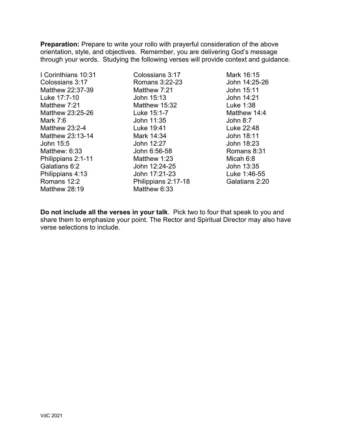**Preparation:** Prepare to write your rollo with prayerful consideration of the above orientation, style, and objectives. Remember, you are delivering God's message through your words. Studying the following verses will provide context and guidance.

I Corinthians 10:31 Colossians 3:17 Matthew 22:37-39 Luke 17:7-10 Matthew 7:21 Matthew 23:25-26 Mark 7:6 Matthew 23:2-4 Matthew 23:13-14 John 15:5 Matthew: 6:33 Philippians 2:1-11 Galatians 6:2 Philippians 4:13 Romans 12:2 Matthew 28:19

Colossians 3:17 Romans 3:22-23 Matthew 7:21 John 15:13 Matthew 15:32 Luke 15:1-7 John 11:35 Luke 19:41 Mark 14:34 John 12:27 John 6:56-58 Matthew 1:23 John 12:24-25 John 17:21-23 Philippians 2:17-18 Matthew 6:33

Mark 16:15 John 14:25-26 John 15:11 John 14:21 Luke 1:38 Matthew 14:4 John 8:7 Luke 22:48 John 18:11 John 18:23 Romans 8:31 Micah 6:8 John 13:35 Luke 1:46-55 Galatians 2:20

**Do not include all the verses in your talk**. Pick two to four that speak to you and share them to emphasize your point. The Rector and Spiritual Director may also have verse selections to include.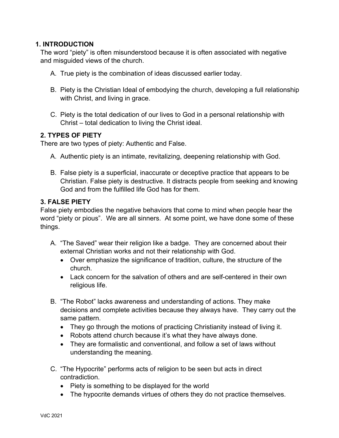#### **1. INTRODUCTION**

The word "piety" is often misunderstood because it is often associated with negative and misguided views of the church.

- A. True piety is the combination of ideas discussed earlier today.
- B. Piety is the Christian Ideal of embodying the church, developing a full relationship with Christ, and living in grace.
- C. Piety is the total dedication of our lives to God in a personal relationship with Christ – total dedication to living the Christ ideal.

#### **2. TYPES OF PIETY**

There are two types of piety: Authentic and False.

- A. Authentic piety is an intimate, revitalizing, deepening relationship with God.
- B. False piety is a superficial, inaccurate or deceptive practice that appears to be Christian. False piety is destructive. It distracts people from seeking and knowing God and from the fulfilled life God has for them.

#### **3. FALSE PIETY**

False piety embodies the negative behaviors that come to mind when people hear the word "piety or pious". We are all sinners. At some point, we have done some of these things.

- A. "The Saved" wear their religion like a badge. They are concerned about their external Christian works and not their relationship with God.
	- Over emphasize the significance of tradition, culture, the structure of the church.
	- Lack concern for the salvation of others and are self-centered in their own religious life.
- B. "The Robot" lacks awareness and understanding of actions. They make decisions and complete activities because they always have. They carry out the same pattern.
	- They go through the motions of practicing Christianity instead of living it.
	- Robots attend church because it's what they have always done.
	- They are formalistic and conventional, and follow a set of laws without understanding the meaning.
- C. "The Hypocrite" performs acts of religion to be seen but acts in direct contradiction.
	- Piety is something to be displayed for the world
	- The hypocrite demands virtues of others they do not practice themselves.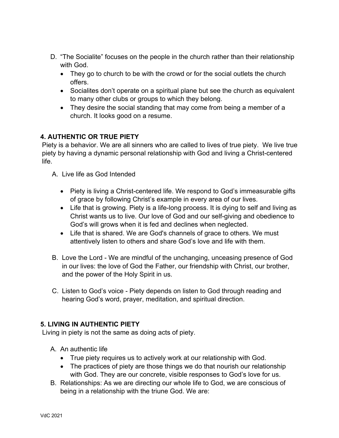- D. "The Socialite" focuses on the people in the church rather than their relationship with God.
	- They go to church to be with the crowd or for the social outlets the church offers.
	- Socialites don't operate on a spiritual plane but see the church as equivalent to many other clubs or groups to which they belong.
	- They desire the social standing that may come from being a member of a church. It looks good on a resume.

# **4. AUTHENTIC OR TRUE PIETY**

Piety is a behavior. We are all sinners who are called to lives of true piety. We live true piety by having a dynamic personal relationship with God and living a Christ-centered life.

- A. Live life as God Intended
	- Piety is living a Christ-centered life. We respond to God's immeasurable gifts of grace by following Christ's example in every area of our lives.
	- Life that is growing. Piety is a life-long process. It is dying to self and living as Christ wants us to live. Our love of God and our self-giving and obedience to God's will grows when it is fed and declines when neglected.
	- Life that is shared. We are God's channels of grace to others. We must attentively listen to others and share God's love and life with them.
- B. Love the Lord We are mindful of the unchanging, unceasing presence of God in our lives: the love of God the Father, our friendship with Christ, our brother, and the power of the Holy Spirit in us.
- C. Listen to God's voice Piety depends on listen to God through reading and hearing God's word, prayer, meditation, and spiritual direction.

# **5. LIVING IN AUTHENTIC PIETY**

Living in piety is not the same as doing acts of piety.

- A. An authentic life
	- True piety requires us to actively work at our relationship with God.
	- The practices of piety are those things we do that nourish our relationship with God. They are our concrete, visible responses to God's love for us.
- B. Relationships: As we are directing our whole life to God, we are conscious of being in a relationship with the triune God. We are: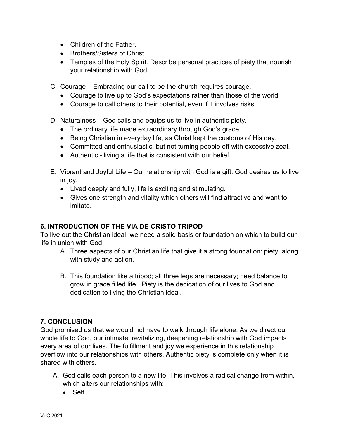- Children of the Father.
- Brothers/Sisters of Christ.
- Temples of the Holy Spirit. Describe personal practices of piety that nourish your relationship with God.
- C. Courage Embracing our call to be the church requires courage.
	- Courage to live up to God's expectations rather than those of the world.
	- Courage to call others to their potential, even if it involves risks.
- D. Naturalness God calls and equips us to live in authentic piety.
	- The ordinary life made extraordinary through God's grace.
	- Being Christian in everyday life, as Christ kept the customs of His day.
	- Committed and enthusiastic, but not turning people off with excessive zeal.
	- Authentic living a life that is consistent with our belief.
- E. Vibrant and Joyful Life Our relationship with God is a gift. God desires us to live in joy.
	- Lived deeply and fully, life is exciting and stimulating.
	- Gives one strength and vitality which others will find attractive and want to imitate.

# **6. INTRODUCTION OF THE VIA DE CRISTO TRIPOD**

To live out the Christian ideal, we need a solid basis or foundation on which to build our life in union with God.

- A. Three aspects of our Christian life that give it a strong foundation: piety, along with study and action.
- B. This foundation like a tripod; all three legs are necessary; need balance to grow in grace filled life. Piety is the dedication of our lives to God and dedication to living the Christian ideal.

# **7. CONCLUSION**

God promised us that we would not have to walk through life alone. As we direct our whole life to God, our intimate, revitalizing, deepening relationship with God impacts every area of our lives. The fulfillment and joy we experience in this relationship overflow into our relationships with others. Authentic piety is complete only when it is shared with others.

- A. God calls each person to a new life. This involves a radical change from within, which alters our relationships with:
	- Self